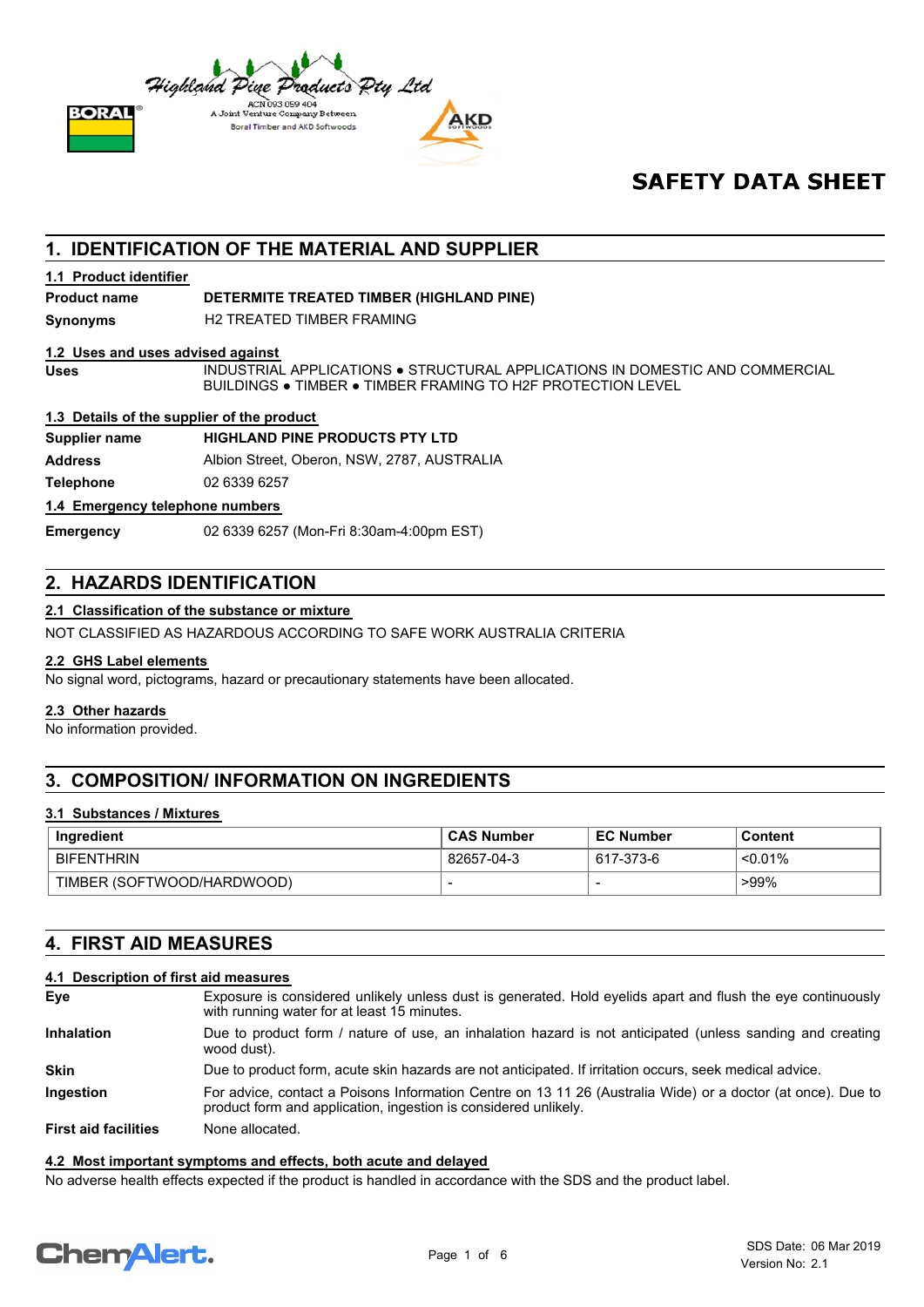

## **SAFETY DATA SHEET**

## **1. IDENTIFICATION OF THE MATERIAL AND SUPPLIER**

#### **1.1 Product identifier**

**Product name DETERMITE TREATED TIMBER (HIGHLAND PINE)**

**Synonyms** H2 TREATED TIMBER FRAMING

#### **1.2 Uses and uses advised against**

INDUSTRIAL APPLICATIONS ● STRUCTURAL APPLICATIONS IN DOMESTIC AND COMMERCIAL BUILDINGS ● TIMBER ● TIMBER FRAMING TO H2F PROTECTION LEVEL

#### **1.3 Details of the supplier of the product**

#### **Supplier name HIGHLAND PINE PRODUCTS PTY LTD**

**Address** Albion Street, Oberon, NSW, 2787, AUSTRALIA

**Uses**

**Telephone** 02 6339 6257

#### **1.4 Emergency telephone numbers**

**Emergency** 02 6339 6257 (Mon-Fri 8:30am-4:00pm EST)

## **2. HAZARDS IDENTIFICATION**

### **2.1 Classification of the substance or mixture**

NOT CLASSIFIED AS HAZARDOUS ACCORDING TO SAFE WORK AUSTRALIA CRITERIA

#### **2.2 GHS Label elements**

No signal word, pictograms, hazard or precautionary statements have been allocated.

#### **2.3 Other hazards**

No information provided.

## **3. COMPOSITION/ INFORMATION ON INGREDIENTS**

#### **3.1 Substances / Mixtures**

| Ingredient                 | <b>CAS Number</b> | <b>EC Number</b> | Content    |
|----------------------------|-------------------|------------------|------------|
| <b>BIFENTHRIN</b>          | 82657-04-3        | 617-373-6        | $< 0.01\%$ |
| TIMBER (SOFTWOOD/HARDWOOD) |                   |                  | >99%       |

## **4. FIRST AID MEASURES**

#### **4.1 Description of first aid measures**

| Eye                         | Exposure is considered unlikely unless dust is generated. Hold eyelids apart and flush the eye continuously<br>with running water for at least 15 minutes.                     |
|-----------------------------|--------------------------------------------------------------------------------------------------------------------------------------------------------------------------------|
| <b>Inhalation</b>           | Due to product form / nature of use, an inhalation hazard is not anticipated (unless sanding and creating<br>wood dust).                                                       |
| <b>Skin</b>                 | Due to product form, acute skin hazards are not anticipated. If irritation occurs, seek medical advice.                                                                        |
| Ingestion                   | For advice, contact a Poisons Information Centre on 13 11 26 (Australia Wide) or a doctor (at once). Due to<br>product form and application, ingestion is considered unlikely. |
| <b>First aid facilities</b> | None allocated.                                                                                                                                                                |

### **4.2 Most important symptoms and effects, both acute and delayed**

No adverse health effects expected if the product is handled in accordance with the SDS and the product label.

# **ChemAlert.**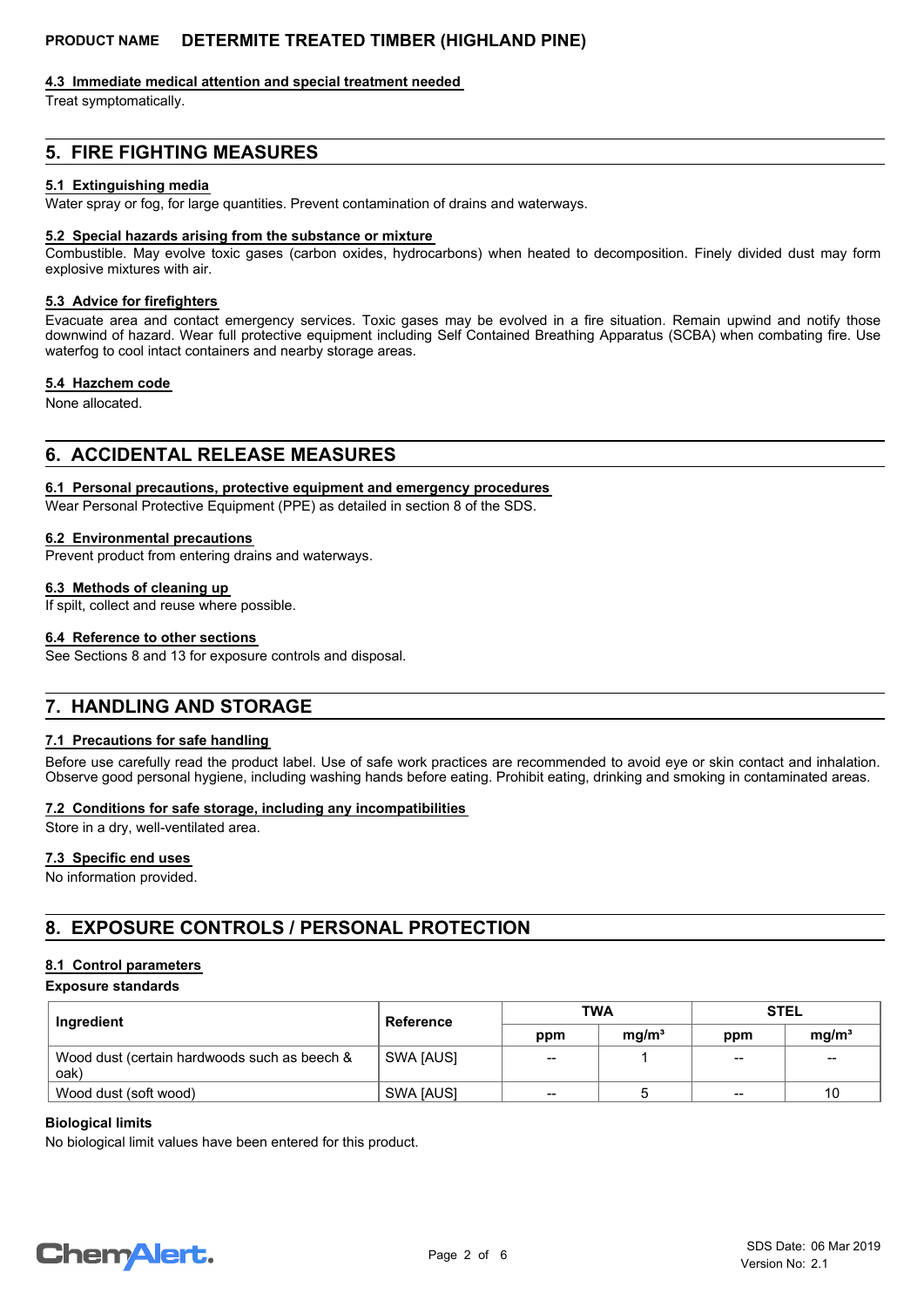#### **4.3 Immediate medical attention and special treatment needed**

Treat symptomatically.

## **5. FIRE FIGHTING MEASURES**

#### **5.1 Extinguishing media**

Water spray or fog, for large quantities. Prevent contamination of drains and waterways.

#### **5.2 Special hazards arising from the substance or mixture**

Combustible. May evolve toxic gases (carbon oxides, hydrocarbons) when heated to decomposition. Finely divided dust may form explosive mixtures with air.

#### **5.3 Advice for firefighters**

Evacuate area and contact emergency services. Toxic gases may be evolved in a fire situation. Remain upwind and notify those downwind of hazard. Wear full protective equipment including Self Contained Breathing Apparatus (SCBA) when combating fire. Use waterfog to cool intact containers and nearby storage areas.

#### **5.4 Hazchem code**

None allocated.

## **6. ACCIDENTAL RELEASE MEASURES**

## **6.1 Personal precautions, protective equipment and emergency procedures**

Wear Personal Protective Equipment (PPE) as detailed in section 8 of the SDS.

#### **6.2 Environmental precautions**

Prevent product from entering drains and waterways.

#### **6.3 Methods of cleaning up**

If spilt, collect and reuse where possible.

#### **6.4 Reference to other sections**

See Sections 8 and 13 for exposure controls and disposal.

## **7. HANDLING AND STORAGE**

#### **7.1 Precautions for safe handling**

Before use carefully read the product label. Use of safe work practices are recommended to avoid eye or skin contact and inhalation. Observe good personal hygiene, including washing hands before eating. Prohibit eating, drinking and smoking in contaminated areas.

#### **7.2 Conditions for safe storage, including any incompatibilities**

Store in a dry, well-ventilated area.

#### **7.3 Specific end uses**

No information provided.

## **8. EXPOSURE CONTROLS / PERSONAL PROTECTION**

## **8.1 Control parameters**

## **Exposure standards**

| Ingredient                                           | <b>Reference</b> | <b>TWA</b> |                   | <b>STEL</b>     |                   |
|------------------------------------------------------|------------------|------------|-------------------|-----------------|-------------------|
|                                                      |                  | ppm        | mg/m <sup>3</sup> | ppm             | mg/m <sup>3</sup> |
| Wood dust (certain hardwoods such as beech &<br>oak) | SWA [AUS]        | --         |                   | $\qquad \qquad$ | $- -$             |
| Wood dust (soft wood)                                | SWA JAUSI        | --         |                   | $- -$           | 10                |

## **Biological limits**

No biological limit values have been entered for this product.

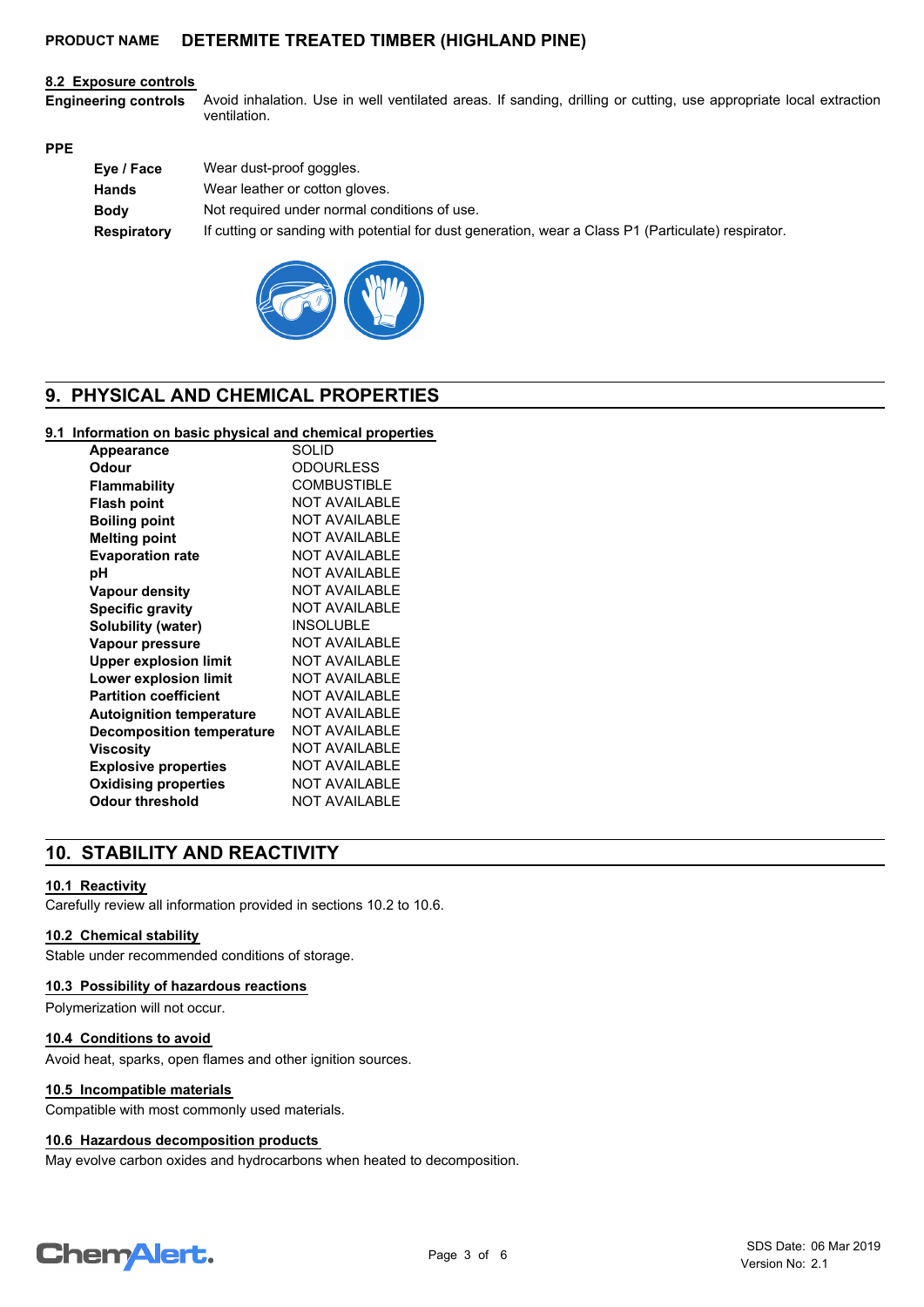#### **8.2 Exposure controls**

Avoid inhalation. Use in well ventilated areas. If sanding, drilling or cutting, use appropriate local extraction ventilation. **Engineering controls**

#### **PPE**

| Eye / Face         | Wear dust-proof goggles.                                                                            |
|--------------------|-----------------------------------------------------------------------------------------------------|
| <b>Hands</b>       | Wear leather or cotton gloves.                                                                      |
| <b>Body</b>        | Not required under normal conditions of use.                                                        |
| <b>Respiratory</b> | If cutting or sanding with potential for dust generation, wear a Class P1 (Particulate) respirator. |



## **9. PHYSICAL AND CHEMICAL PROPERTIES**

#### **9.1 Information on basic physical and chemical properties**

| <b>Appearance</b>                | <b>SOLID</b>          |
|----------------------------------|-----------------------|
| Odour                            | <b>ODOURLESS</b>      |
| <b>Flammability</b>              | <b>COMBUSTIBLE</b>    |
| <b>Flash point</b>               | NOT AVAII ABI F       |
| <b>Boiling point</b>             | <b>NOT AVAILABLE</b>  |
| <b>Melting point</b>             | <b>NOT AVAILABLE</b>  |
| <b>Evaporation rate</b>          | <b>NOT AVAILABLE</b>  |
| рH                               | <b>NOT AVAILABLE</b>  |
| <b>Vapour density</b>            | <b>NOT AVAILABLE</b>  |
| <b>Specific gravity</b>          | NOT AVAII ABI F       |
| <b>Solubility (water)</b>        | <b>INSOLUBLE</b>      |
| Vapour pressure                  | <b>NOT AVAILABLE</b>  |
| <b>Upper explosion limit</b>     | <b>NOT AVAILABI F</b> |
| Lower explosion limit            | <b>NOT AVAILABLE</b>  |
| <b>Partition coefficient</b>     | NOT AVAII ABI F       |
| <b>Autoignition temperature</b>  | NOT AVAII ABI F       |
| <b>Decomposition temperature</b> | NOT AVAII ABI F       |
| Viscosity                        | <b>NOT AVAILABLE</b>  |
| <b>Explosive properties</b>      | NOT AVAII ABI F       |
| <b>Oxidising properties</b>      | <b>NOT AVAILABLE</b>  |
| <b>Odour threshold</b>           | <b>NOT AVAILABLE</b>  |

## **10. STABILITY AND REACTIVITY**

#### **10.1 Reactivity**

Carefully review all information provided in sections 10.2 to 10.6.

#### **10.2 Chemical stability**

Stable under recommended conditions of storage.

#### **10.3 Possibility of hazardous reactions**

Polymerization will not occur.

#### **10.4 Conditions to avoid**

Avoid heat, sparks, open flames and other ignition sources.

#### **10.5 Incompatible materials**

Compatible with most commonly used materials.

#### **10.6 Hazardous decomposition products**

May evolve carbon oxides and hydrocarbons when heated to decomposition.

## **ChemAlert.**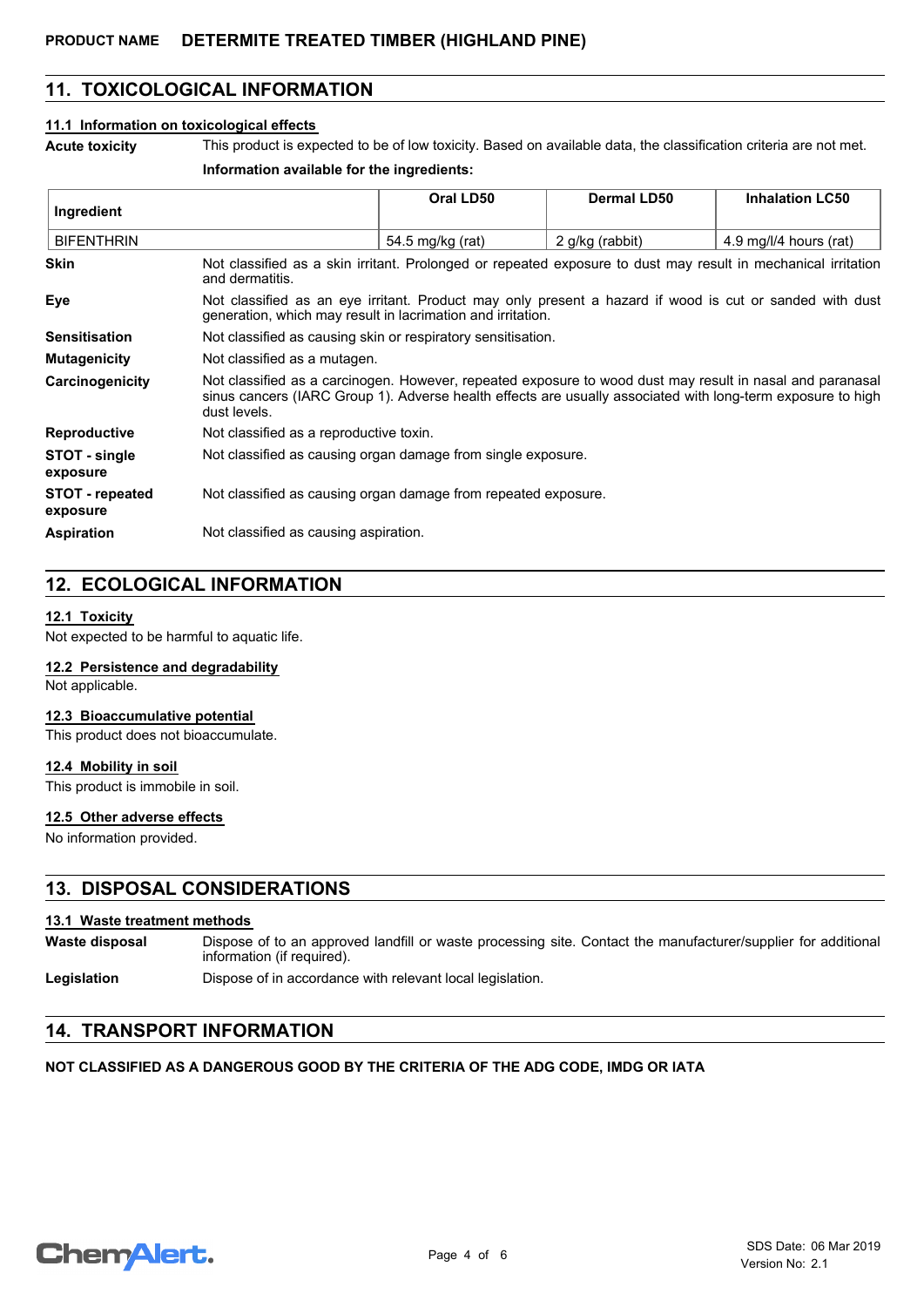## **11. TOXICOLOGICAL INFORMATION**

#### **11.1 Information on toxicological effects**

**Acute toxicity** This product is expected to be of low toxicity. Based on available data, the classification criteria are not met.

#### **Information available for the ingredients:**

| Ingredient                         |                                                                                                                                                                                                                                          | Oral LD50        | <b>Dermal LD50</b> | <b>Inhalation LC50</b> |
|------------------------------------|------------------------------------------------------------------------------------------------------------------------------------------------------------------------------------------------------------------------------------------|------------------|--------------------|------------------------|
|                                    |                                                                                                                                                                                                                                          |                  |                    |                        |
| <b>BIFENTHRIN</b>                  |                                                                                                                                                                                                                                          | 54.5 mg/kg (rat) | 2 g/kg (rabbit)    | 4.9 mg/l/4 hours (rat) |
| <b>Skin</b>                        | Not classified as a skin irritant. Prolonged or repeated exposure to dust may result in mechanical irritation<br>and dermatitis.                                                                                                         |                  |                    |                        |
| <b>Eye</b>                         | Not classified as an eye irritant. Product may only present a hazard if wood is cut or sanded with dust<br>generation, which may result in lacrimation and irritation.                                                                   |                  |                    |                        |
| <b>Sensitisation</b>               | Not classified as causing skin or respiratory sensitisation.                                                                                                                                                                             |                  |                    |                        |
| <b>Mutagenicity</b>                | Not classified as a mutagen.                                                                                                                                                                                                             |                  |                    |                        |
| Carcinogenicity                    | Not classified as a carcinogen. However, repeated exposure to wood dust may result in nasal and paranasal<br>sinus cancers (IARC Group 1). Adverse health effects are usually associated with long-term exposure to high<br>dust levels. |                  |                    |                        |
| <b>Reproductive</b>                | Not classified as a reproductive toxin.                                                                                                                                                                                                  |                  |                    |                        |
| STOT - single<br>exposure          | Not classified as causing organ damage from single exposure.                                                                                                                                                                             |                  |                    |                        |
| <b>STOT</b> - repeated<br>exposure | Not classified as causing organ damage from repeated exposure.                                                                                                                                                                           |                  |                    |                        |
| <b>Aspiration</b>                  | Not classified as causing aspiration.                                                                                                                                                                                                    |                  |                    |                        |

## **12. ECOLOGICAL INFORMATION**

#### **12.1 Toxicity**

Not expected to be harmful to aquatic life.

#### **12.2 Persistence and degradability**

Not applicable.

### **12.3 Bioaccumulative potential**

This product does not bioaccumulate.

#### **12.4 Mobility in soil**

This product is immobile in soil.

#### **12.5 Other adverse effects**

No information provided.

### **13. DISPOSAL CONSIDERATIONS**

#### **13.1 Waste treatment methods**

| Waste disposal | Dispose of to an approved landfill or waste processing site. Contact the manufacturer/supplier for additional |
|----------------|---------------------------------------------------------------------------------------------------------------|
|                | information (if required).                                                                                    |

Legislation **Dispose of in accordance with relevant local legislation.** 

## **14. TRANSPORT INFORMATION**

#### **NOT CLASSIFIED AS A DANGEROUS GOOD BY THE CRITERIA OF THE ADG CODE, IMDG OR IATA**

## **ChemAlert.**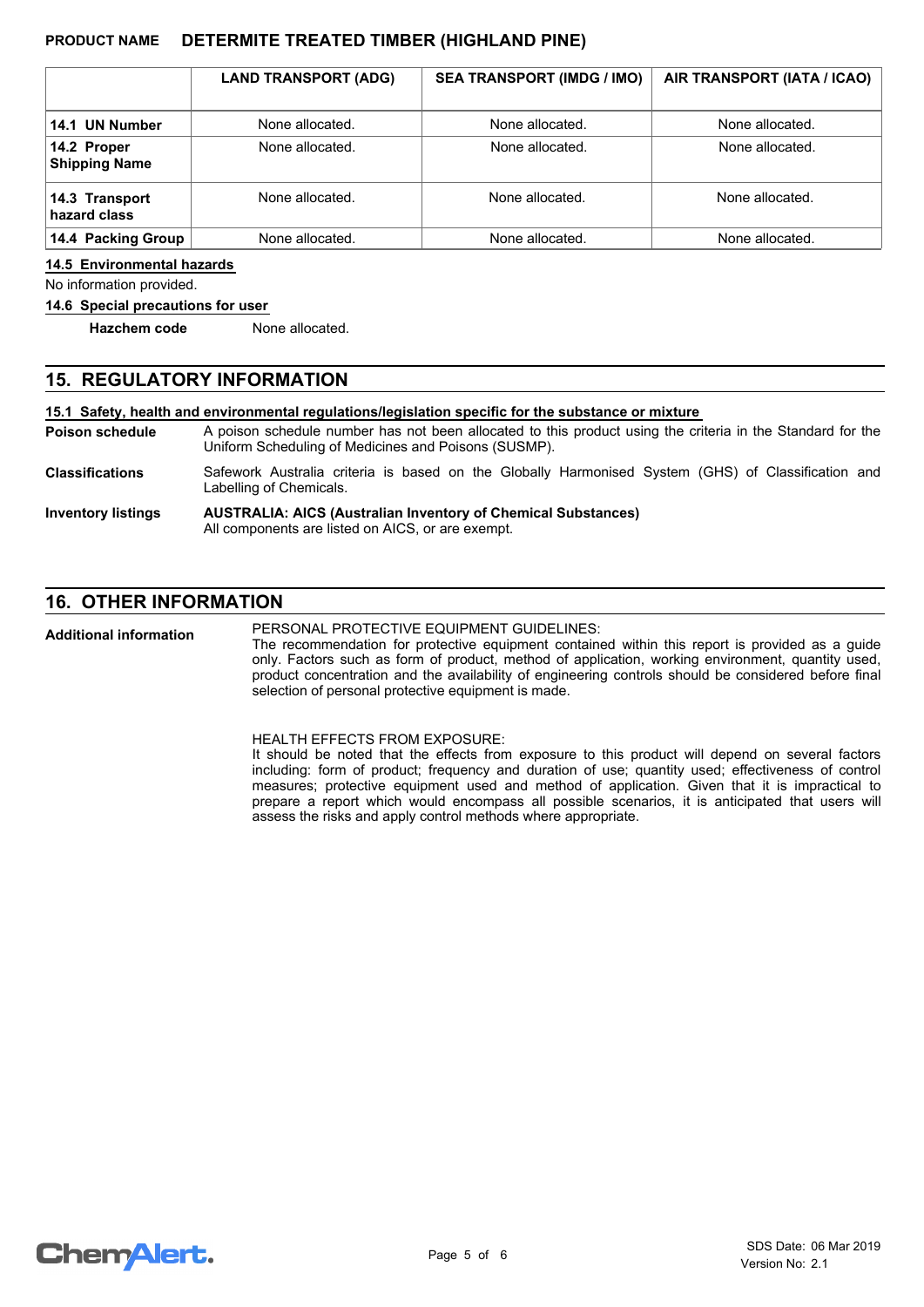|                                     | <b>LAND TRANSPORT (ADG)</b> | <b>SEA TRANSPORT (IMDG / IMO)</b> | AIR TRANSPORT (IATA / ICAO) |
|-------------------------------------|-----------------------------|-----------------------------------|-----------------------------|
| 14.1 UN Number                      | None allocated.             | None allocated.                   | None allocated.             |
| 14.2 Proper<br><b>Shipping Name</b> | None allocated.             | None allocated.                   | None allocated.             |
| 14.3 Transport<br>hazard class      | None allocated.             | None allocated.                   | None allocated.             |
| 14.4 Packing Group                  | None allocated.             | None allocated.                   | None allocated.             |

#### **14.5 Environmental hazards**

No information provided.

#### **14.6 Special precautions for user**

**Hazchem code** None allocated.

### **15. REGULATORY INFORMATION**

**15.1 Safety, health and environmental regulations/legislation specific for the substance or mixture**

A poison schedule number has not been allocated to this product using the criteria in the Standard for the Uniform Scheduling of Medicines and Poisons (SUSMP). **Poison schedule**

Safework Australia criteria is based on the Globally Harmonised System (GHS) of Classification and Labelling of Chemicals. **Classifications**

#### **AUSTRALIA: AICS (Australian Inventory of Chemical Substances)** All components are listed on AICS, or are exempt. **Inventory listings**

## **16. OTHER INFORMATION**

PERSONAL PROTECTIVE EQUIPMENT GUIDELINES: **Additional information**

The recommendation for protective equipment contained within this report is provided as a guide only. Factors such as form of product, method of application, working environment, quantity used, product concentration and the availability of engineering controls should be considered before final selection of personal protective equipment is made.

HEALTH EFFECTS FROM EXPOSURE:

It should be noted that the effects from exposure to this product will depend on several factors including: form of product; frequency and duration of use; quantity used; effectiveness of control measures; protective equipment used and method of application. Given that it is impractical to prepare a report which would encompass all possible scenarios, it is anticipated that users will assess the risks and apply control methods where appropriate.